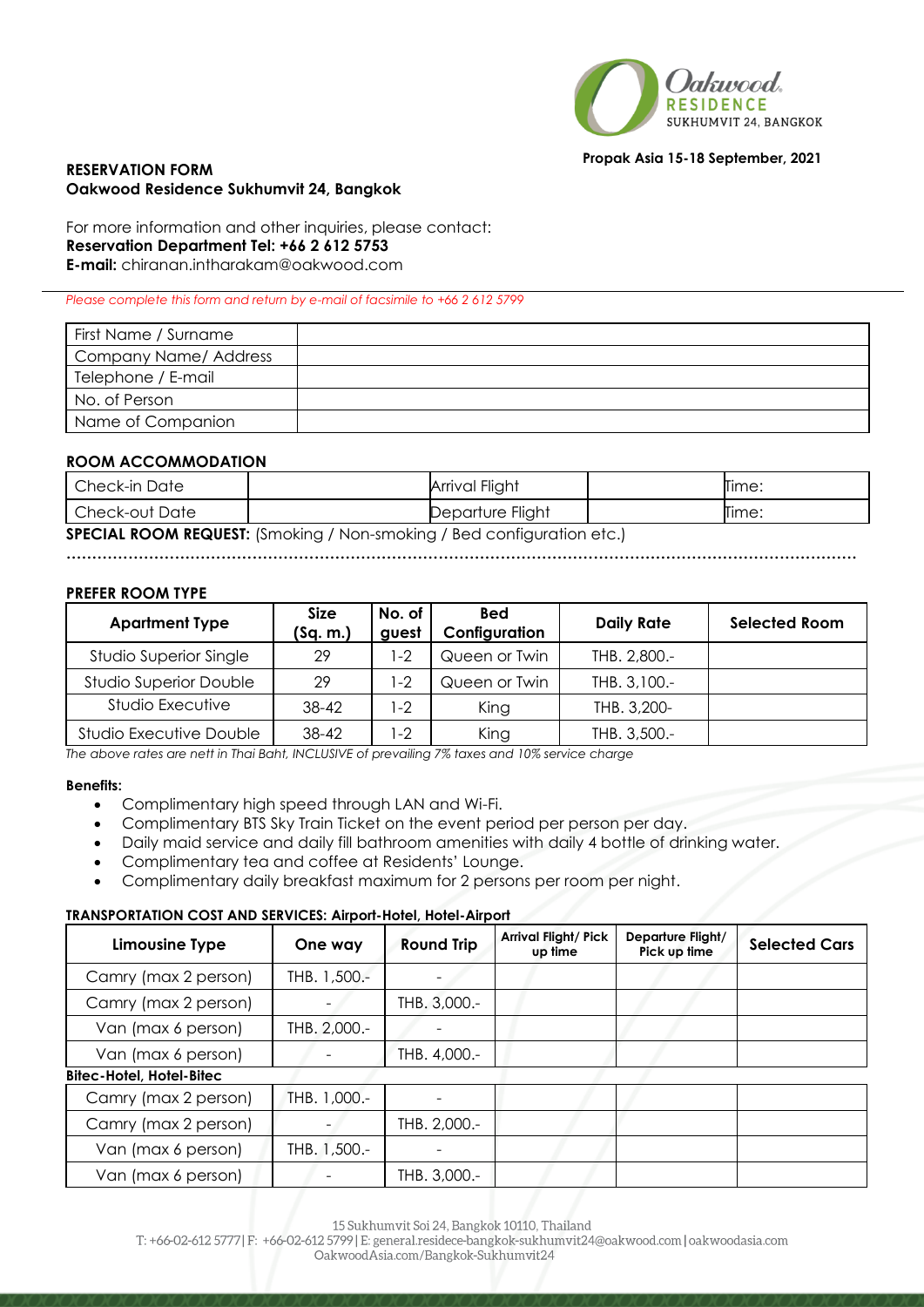

### **Propak Asia 15-18 September, 2021**

## **RESERVATION FORM Oakwood Residence Sukhumvit 24, Bangkok**

For more information and other inquiries, please contact: **Reservation Department Tel: +66 2 612 5753 E-mail:** chiranan.intharakam@oakwood.com

### *Please complete this form and return by e-mail of facsimile to +66 2 612 5799*

| First Name / Surname  |  |
|-----------------------|--|
| Company Name/ Address |  |
| Telephone / E-mail    |  |
| No. of Person         |  |
| Name of Companion     |  |

## **ROOM ACCOMMODATION**

| l Check-in Date                                                               |  | Arrival Flight   |  | Time: |  |
|-------------------------------------------------------------------------------|--|------------------|--|-------|--|
| l Check-out Date                                                              |  | Departure Flight |  | Time: |  |
| <b>SPECIAL ROOM REQUEST:</b> (Smoking / Non-smoking / Bed configuration etc.) |  |                  |  |       |  |

**………………………………………………………………………………………………………………………………………**

# **PREFER ROOM TYPE**

| <b>Apartment Type</b>         | <b>Size</b><br>(Sq. m.) | No. of<br>guest | <b>Bed</b><br>Configuration | <b>Daily Rate</b> | <b>Selected Room</b> |
|-------------------------------|-------------------------|-----------------|-----------------------------|-------------------|----------------------|
| Studio Superior Single        | 29                      | $ -2$           | Queen or Twin               | THB. 2,800.-      |                      |
| <b>Studio Superior Double</b> | 29                      | $ -2$           | Queen or Twin               | THB. 3,100.-      |                      |
| Studio Executive              | 38-42                   | $ -2 $          | King                        | THB. 3,200-       |                      |
| Studio Executive Double       | 38-42                   | l-2             | King                        | THB. 3,500.-      |                      |

*The above rates are nett in Thai Baht, INCLUSIVE of prevailing 7% taxes and 10% service charge* 

### **Benefits:**

- Complimentary high speed through LAN and Wi-Fi.
- Complimentary BTS Sky Train Ticket on the event period per person per day.
- Daily maid service and daily fill bathroom amenities with daily 4 bottle of drinking water.
- Complimentary tea and coffee at Residents' Lounge.
- Complimentary daily breakfast maximum for 2 persons per room per night.

### **TRANSPORTATION COST AND SERVICES: Airport-Hotel, Hotel-Airport**

| <b>Limousine Type</b>           | One way                  | <b>Round Trip</b> | <b>Arrival Flight/ Pick</b><br>up time | Departure Flight/<br>Pick up time | <b>Selected Cars</b> |
|---------------------------------|--------------------------|-------------------|----------------------------------------|-----------------------------------|----------------------|
| Camry (max 2 person)            | THB. 1,500 .-            |                   |                                        |                                   |                      |
| Camry (max 2 person)            | $\overline{\phantom{0}}$ | THB. 3,000.-      |                                        |                                   |                      |
| Van (max 6 person)              | THB. 2,000.-             |                   |                                        |                                   |                      |
| Van (max 6 person)              |                          | THB. 4,000.-      |                                        |                                   |                      |
| <b>Bitec-Hotel, Hotel-Bitec</b> |                          |                   |                                        |                                   |                      |
| Camry (max 2 person)            | THB. 1,000.-             |                   |                                        |                                   |                      |
| Camry (max 2 person)            |                          | THB. 2,000.-      |                                        |                                   |                      |
| Van (max 6 person)              | THB. 1,500.-             |                   |                                        |                                   |                      |
| Van (max 6 person)              |                          | THB. 3,000.-      |                                        |                                   |                      |

15 Sukhumvit Soi 24, Bangkok 10110, Thailand

T: +66-02-612 5777 | F: +66-02-612 5799 | E: general.residece-bangkok-sukhumvit24@oakwood.com | oakwoodasia.com

OakwoodAsia.com/Bangkok-Sukhumvit24